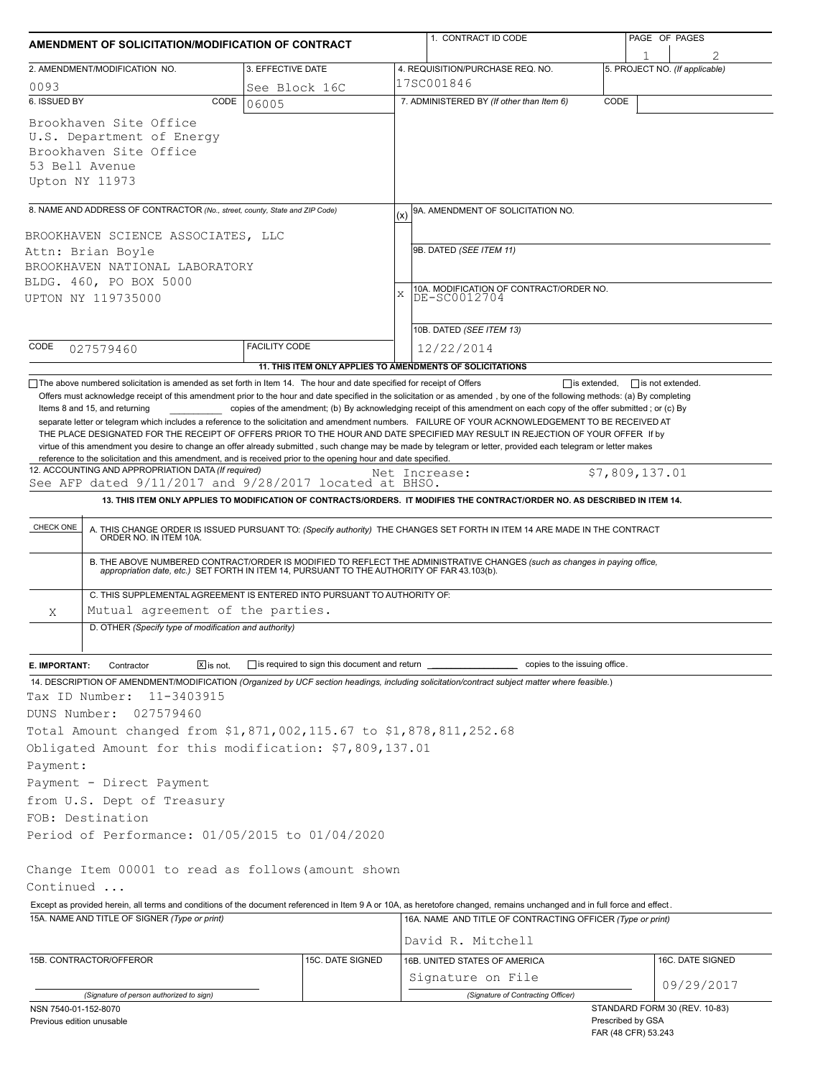| AMENDMENT OF SOLICITATION/MODIFICATION OF CONTRACT                                                                                                                                                                                                                                                                                                                                                                                                                                                                                     |                                                           |                                                   | 1. CONTRACT ID CODE                                                                                                                                                                                                                                                                                                                                                          | PAGE OF PAGES |                                                    |  |
|----------------------------------------------------------------------------------------------------------------------------------------------------------------------------------------------------------------------------------------------------------------------------------------------------------------------------------------------------------------------------------------------------------------------------------------------------------------------------------------------------------------------------------------|-----------------------------------------------------------|---------------------------------------------------|------------------------------------------------------------------------------------------------------------------------------------------------------------------------------------------------------------------------------------------------------------------------------------------------------------------------------------------------------------------------------|---------------|----------------------------------------------------|--|
| 2. AMENDMENT/MODIFICATION NO.                                                                                                                                                                                                                                                                                                                                                                                                                                                                                                          | 3. EFFECTIVE DATE                                         |                                                   | 4. REQUISITION/PURCHASE REQ. NO.                                                                                                                                                                                                                                                                                                                                             |               | 5. PROJECT NO. (If applicable)                     |  |
| 0093                                                                                                                                                                                                                                                                                                                                                                                                                                                                                                                                   |                                                           |                                                   | 17SC001846                                                                                                                                                                                                                                                                                                                                                                   |               |                                                    |  |
| 6. ISSUED BY<br>CODE                                                                                                                                                                                                                                                                                                                                                                                                                                                                                                                   | See Block 16C<br>06005                                    | 7. ADMINISTERED BY (If other than Item 6)<br>CODE |                                                                                                                                                                                                                                                                                                                                                                              |               |                                                    |  |
| Brookhaven Site Office<br>U.S. Department of Energy<br>Brookhaven Site Office<br>53 Bell Avenue<br>Upton NY 11973                                                                                                                                                                                                                                                                                                                                                                                                                      |                                                           |                                                   |                                                                                                                                                                                                                                                                                                                                                                              |               |                                                    |  |
| 8. NAME AND ADDRESS OF CONTRACTOR (No., street, county, State and ZIP Code)                                                                                                                                                                                                                                                                                                                                                                                                                                                            |                                                           | (x)                                               | 9A. AMENDMENT OF SOLICITATION NO.                                                                                                                                                                                                                                                                                                                                            |               |                                                    |  |
| BROOKHAVEN SCIENCE ASSOCIATES, LLC<br>Attn: Brian Boyle<br>BROOKHAVEN NATIONAL LABORATORY<br>BLDG. 460, PO BOX 5000<br>UPTON NY 119735000                                                                                                                                                                                                                                                                                                                                                                                              |                                                           |                                                   | 9B. DATED (SEE ITEM 11)<br>10A. MODIFICATION OF CONTRACT/ORDER NO.<br>DE-SC0012704                                                                                                                                                                                                                                                                                           |               |                                                    |  |
| CODE                                                                                                                                                                                                                                                                                                                                                                                                                                                                                                                                   | <b>FACILITY CODE</b>                                      |                                                   | 10B. DATED (SEE ITEM 13)                                                                                                                                                                                                                                                                                                                                                     |               |                                                    |  |
| 027579460                                                                                                                                                                                                                                                                                                                                                                                                                                                                                                                              | 11. THIS ITEM ONLY APPLIES TO AMENDMENTS OF SOLICITATIONS |                                                   | 12/22/2014                                                                                                                                                                                                                                                                                                                                                                   |               |                                                    |  |
| THE PLACE DESIGNATED FOR THE RECEIPT OF OFFERS PRIOR TO THE HOUR AND DATE SPECIFIED MAY RESULT IN REJECTION OF YOUR OFFER If by<br>virtue of this amendment you desire to change an offer already submitted, such change may be made by telegram or letter, provided each telegram or letter makes<br>reference to the solicitation and this amendment, and is received prior to the opening hour and date specified.<br>12. ACCOUNTING AND APPROPRIATION DATA (If required)<br>See AFP dated 9/11/2017 and 9/28/2017 located at BHSO. |                                                           |                                                   | Net Increase:                                                                                                                                                                                                                                                                                                                                                                |               | \$7,809,137.01                                     |  |
|                                                                                                                                                                                                                                                                                                                                                                                                                                                                                                                                        |                                                           |                                                   | 13. THIS ITEM ONLY APPLIES TO MODIFICATION OF CONTRACTS/ORDERS. IT MODIFIES THE CONTRACT/ORDER NO. AS DESCRIBED IN ITEM 14.                                                                                                                                                                                                                                                  |               |                                                    |  |
|                                                                                                                                                                                                                                                                                                                                                                                                                                                                                                                                        |                                                           |                                                   |                                                                                                                                                                                                                                                                                                                                                                              |               |                                                    |  |
| CHECK ONE                                                                                                                                                                                                                                                                                                                                                                                                                                                                                                                              |                                                           |                                                   | A. THIS CHANGE ORDER IS ISSUED PURSUANT TO: (Specify authority) THE CHANGES SET FORTH IN ITEM 14 ARE MADE IN THE CONTRACT ORDER NO. IN ITEM 10A.<br>B. THE ABOVE NUMBERED CONTRACT/ORDER IS MODIFIED TO REFLECT THE ADMINISTRATIVE CHANGES (such as changes in paying office,<br>appropriation date, etc.) SET FORTH IN ITEM 14, PURSUANT TO THE AUTHORITY OF FAR 43.103(b). |               |                                                    |  |
| C. THIS SUPPLEMENTAL AGREEMENT IS ENTERED INTO PURSUANT TO AUTHORITY OF:                                                                                                                                                                                                                                                                                                                                                                                                                                                               |                                                           |                                                   |                                                                                                                                                                                                                                                                                                                                                                              |               |                                                    |  |
| Mutual agreement of the parties.<br>Χ                                                                                                                                                                                                                                                                                                                                                                                                                                                                                                  |                                                           |                                                   |                                                                                                                                                                                                                                                                                                                                                                              |               |                                                    |  |
| D. OTHER (Specify type of modification and authority)                                                                                                                                                                                                                                                                                                                                                                                                                                                                                  |                                                           |                                                   |                                                                                                                                                                                                                                                                                                                                                                              |               |                                                    |  |
|                                                                                                                                                                                                                                                                                                                                                                                                                                                                                                                                        |                                                           |                                                   |                                                                                                                                                                                                                                                                                                                                                                              |               |                                                    |  |
| $\boxed{\mathbf{X}}$ is not.<br>E. IMPORTANT:<br>Contractor                                                                                                                                                                                                                                                                                                                                                                                                                                                                            | is required to sign this document and return __           |                                                   | copies to the issuing office.                                                                                                                                                                                                                                                                                                                                                |               |                                                    |  |
| 14. DESCRIPTION OF AMENDMENT/MODIFICATION (Organized by UCF section headings, including solicitation/contract subject matter where feasible.)                                                                                                                                                                                                                                                                                                                                                                                          |                                                           |                                                   |                                                                                                                                                                                                                                                                                                                                                                              |               |                                                    |  |
| Tax ID Number:<br>11-3403915                                                                                                                                                                                                                                                                                                                                                                                                                                                                                                           |                                                           |                                                   |                                                                                                                                                                                                                                                                                                                                                                              |               |                                                    |  |
| 027579460<br>DUNS Number:                                                                                                                                                                                                                                                                                                                                                                                                                                                                                                              |                                                           |                                                   |                                                                                                                                                                                                                                                                                                                                                                              |               |                                                    |  |
| Total Amount changed from \$1,871,002,115.67 to \$1,878,811,252.68                                                                                                                                                                                                                                                                                                                                                                                                                                                                     |                                                           |                                                   |                                                                                                                                                                                                                                                                                                                                                                              |               |                                                    |  |
| Obligated Amount for this modification: \$7,809,137.01                                                                                                                                                                                                                                                                                                                                                                                                                                                                                 |                                                           |                                                   |                                                                                                                                                                                                                                                                                                                                                                              |               |                                                    |  |
| Payment:<br>Payment - Direct Payment                                                                                                                                                                                                                                                                                                                                                                                                                                                                                                   |                                                           |                                                   |                                                                                                                                                                                                                                                                                                                                                                              |               |                                                    |  |
|                                                                                                                                                                                                                                                                                                                                                                                                                                                                                                                                        |                                                           |                                                   |                                                                                                                                                                                                                                                                                                                                                                              |               |                                                    |  |
| from U.S. Dept of Treasury<br>FOB: Destination                                                                                                                                                                                                                                                                                                                                                                                                                                                                                         |                                                           |                                                   |                                                                                                                                                                                                                                                                                                                                                                              |               |                                                    |  |
| Period of Performance: 01/05/2015 to 01/04/2020                                                                                                                                                                                                                                                                                                                                                                                                                                                                                        |                                                           |                                                   |                                                                                                                                                                                                                                                                                                                                                                              |               |                                                    |  |
|                                                                                                                                                                                                                                                                                                                                                                                                                                                                                                                                        |                                                           |                                                   |                                                                                                                                                                                                                                                                                                                                                                              |               |                                                    |  |
| Change Item 00001 to read as follows (amount shown<br>Continued                                                                                                                                                                                                                                                                                                                                                                                                                                                                        |                                                           |                                                   |                                                                                                                                                                                                                                                                                                                                                                              |               |                                                    |  |
| Except as provided herein, all terms and conditions of the document referenced in Item 9 A or 10A, as heretofore changed, remains unchanged and in full force and effect.                                                                                                                                                                                                                                                                                                                                                              |                                                           |                                                   |                                                                                                                                                                                                                                                                                                                                                                              |               |                                                    |  |
| 15A. NAME AND TITLE OF SIGNER (Type or print)                                                                                                                                                                                                                                                                                                                                                                                                                                                                                          |                                                           |                                                   | 16A. NAME AND TITLE OF CONTRACTING OFFICER (Type or print)                                                                                                                                                                                                                                                                                                                   |               |                                                    |  |
|                                                                                                                                                                                                                                                                                                                                                                                                                                                                                                                                        |                                                           |                                                   | David R. Mitchell                                                                                                                                                                                                                                                                                                                                                            |               |                                                    |  |
| 15B. CONTRACTOR/OFFEROR                                                                                                                                                                                                                                                                                                                                                                                                                                                                                                                | 15C. DATE SIGNED                                          |                                                   | <b>16B. UNITED STATES OF AMERICA</b>                                                                                                                                                                                                                                                                                                                                         |               | 16C. DATE SIGNED                                   |  |
|                                                                                                                                                                                                                                                                                                                                                                                                                                                                                                                                        |                                                           |                                                   | Signature on File                                                                                                                                                                                                                                                                                                                                                            |               | 09/29/2017                                         |  |
| (Signature of person authorized to sign)                                                                                                                                                                                                                                                                                                                                                                                                                                                                                               |                                                           |                                                   | (Signature of Contracting Officer)                                                                                                                                                                                                                                                                                                                                           |               |                                                    |  |
| NSN 7540-01-152-8070<br>Previous edition unusable                                                                                                                                                                                                                                                                                                                                                                                                                                                                                      |                                                           |                                                   |                                                                                                                                                                                                                                                                                                                                                                              |               | STANDARD FORM 30 (REV. 10-83)<br>Prescribed by GSA |  |

FAR (48 CFR) 53.243